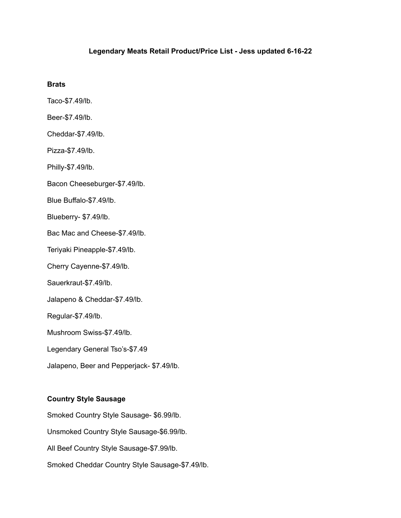### **Legendary Meats Retail Product/Price List - Jess updated 6-16-22**

### **Brats**

Taco-\$7.49/lb.

Beer-\$7.49/lb.

Cheddar-\$7.49/lb.

Pizza-\$7.49/lb.

Philly-\$7.49/lb.

Bacon Cheeseburger-\$7.49/lb.

Blue Buffalo-\$7.49/lb.

Blueberry- \$7.49/lb.

Bac Mac and Cheese-\$7.49/lb.

Teriyaki Pineapple-\$7.49/lb.

Cherry Cayenne-\$7.49/lb.

Sauerkraut-\$7.49/lb.

Jalapeno & Cheddar-\$7.49/lb.

Regular-\$7.49/lb.

Mushroom Swiss-\$7.49/lb.

Legendary General Tso's-\$7.49

Jalapeno, Beer and Pepperjack- \$7.49/lb.

#### **Country Style Sausage**

Smoked Country Style Sausage- \$6.99/lb. Unsmoked Country Style Sausage-\$6.99/lb. All Beef Country Style Sausage-\$7.99/lb. Smoked Cheddar Country Style Sausage-\$7.49/lb.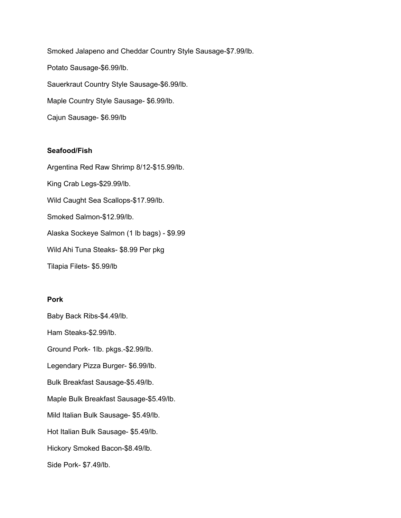Smoked Jalapeno and Cheddar Country Style Sausage-\$7.99/lb. Potato Sausage-\$6.99/lb. Sauerkraut Country Style Sausage-\$6.99/lb. Maple Country Style Sausage- \$6.99/lb. Cajun Sausage- \$6.99/lb

#### **Seafood/Fish**

Argentina Red Raw Shrimp 8/12-\$15.99/lb. King Crab Legs-\$29.99/lb. Wild Caught Sea Scallops-\$17.99/lb. Smoked Salmon-\$12.99/lb. Alaska Sockeye Salmon (1 lb bags) - \$9.99 Wild Ahi Tuna Steaks- \$8.99 Per pkg Tilapia Filets- \$5.99/lb

### **Pork**

Baby Back Ribs-\$4.49/lb.

Ham Steaks-\$2.99/lb.

Ground Pork- 1lb. pkgs.-\$2.99/lb.

Legendary Pizza Burger- \$6.99/lb.

Bulk Breakfast Sausage-\$5.49/lb.

Maple Bulk Breakfast Sausage-\$5.49/lb.

Mild Italian Bulk Sausage- \$5.49/lb.

Hot Italian Bulk Sausage- \$5.49/lb.

Hickory Smoked Bacon-\$8.49/lb.

Side Pork- \$7.49/lb.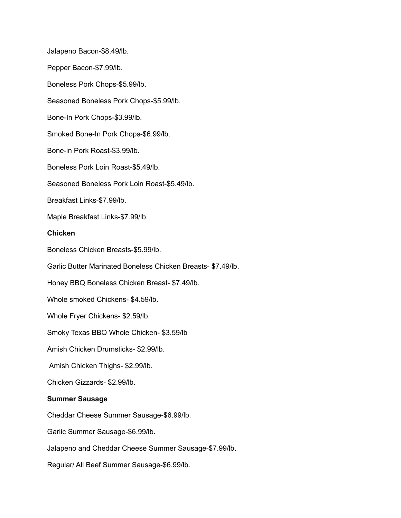Jalapeno Bacon-\$8.49/lb. Pepper Bacon-\$7.99/lb. Boneless Pork Chops-\$5.99/lb. Seasoned Boneless Pork Chops-\$5.99/lb. Bone-In Pork Chops-\$3.99/lb. Smoked Bone-In Pork Chops-\$6.99/lb. Bone-in Pork Roast-\$3.99/lb. Boneless Pork Loin Roast-\$5.49/lb. Seasoned Boneless Pork Loin Roast-\$5.49/lb. Breakfast Links-\$7.99/lb. Maple Breakfast Links-\$7.99/lb. **Chicken** Boneless Chicken Breasts-\$5.99/lb. Garlic Butter Marinated Boneless Chicken Breasts- \$7.49/lb. Honey BBQ Boneless Chicken Breast- \$7.49/lb. Whole smoked Chickens- \$4.59/lb. Whole Fryer Chickens- \$2.59/lb. Smoky Texas BBQ Whole Chicken- \$3.59/lb Amish Chicken Drumsticks- \$2.99/lb. Amish Chicken Thighs- \$2.99/lb. Chicken Gizzards- \$2.99/lb. **Summer Sausage** Cheddar Cheese Summer Sausage-\$6.99/lb. Garlic Summer Sausage-\$6.99/lb. Jalapeno and Cheddar Cheese Summer Sausage-\$7.99/lb. Regular/ All Beef Summer Sausage-\$6.99/lb.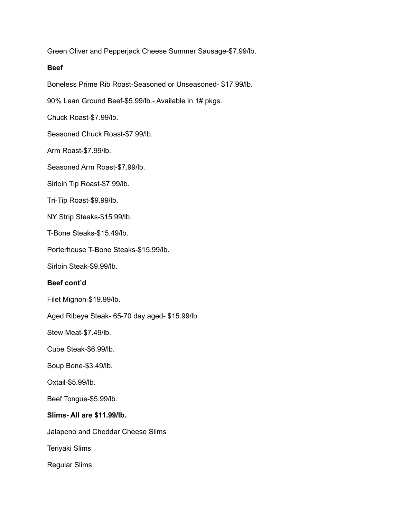Green Oliver and Pepperjack Cheese Summer Sausage-\$7.99/lb.

### **Beef**

Boneless Prime Rib Roast-Seasoned or Unseasoned- \$17.99/lb.

90% Lean Ground Beef-\$5.99/lb.- Available in 1# pkgs.

Chuck Roast-\$7.99/lb.

Seasoned Chuck Roast-\$7.99/lb.

Arm Roast-\$7.99/lb.

Seasoned Arm Roast-\$7.99/lb.

Sirloin Tip Roast-\$7.99/lb.

Tri-Tip Roast-\$9.99/lb.

NY Strip Steaks-\$15.99/lb.

T-Bone Steaks-\$15.49/lb.

Porterhouse T-Bone Steaks-\$15.99/lb.

Sirloin Steak-\$9.99/lb.

### **Beef cont'd**

Filet Mignon-\$19.99/lb.

Aged Ribeye Steak- 65-70 day aged- \$15.99/lb.

Stew Meat-\$7.49/lb.

Cube Steak-\$6.99/lb.

Soup Bone-\$3.49/lb.

Oxtail-\$5.99/lb.

Beef Tongue-\$5.99/lb.

## **Slims- All are \$11.99/lb.**

Jalapeno and Cheddar Cheese Slims

Teriyaki Slims

Regular Slims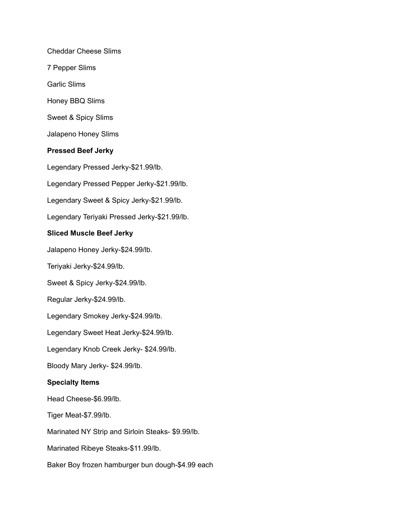Cheddar Cheese Slims

7 Pepper Slims

Garlic Slims

Honey BBQ Slims

Sweet & Spicy Slims

Jalapeno Honey Slims

## **Pressed Beef Jerky**

Legendary Pressed Jerky-\$21.99/lb.

Legendary Pressed Pepper Jerky-\$21.99/lb.

Legendary Sweet & Spicy Jerky-\$21.99/lb.

Legendary Teriyaki Pressed Jerky-\$21.99/lb.

## **Sliced Muscle Beef Jerky**

Jalapeno Honey Jerky-\$24.99/lb.

Teriyaki Jerky-\$24.99/lb.

Sweet & Spicy Jerky-\$24.99/lb.

Regular Jerky-\$24.99/lb.

Legendary Smokey Jerky-\$24.99/lb.

Legendary Sweet Heat Jerky-\$24.99/lb.

Legendary Knob Creek Jerky- \$24.99/lb.

Bloody Mary Jerky- \$24.99/lb.

## **Specialty Items**

Head Cheese-\$6.99/lb.

Tiger Meat-\$7.99/lb.

Marinated NY Strip and Sirloin Steaks- \$9.99/lb.

Marinated Ribeye Steaks-\$11.99/lb.

Baker Boy frozen hamburger bun dough-\$4.99 each